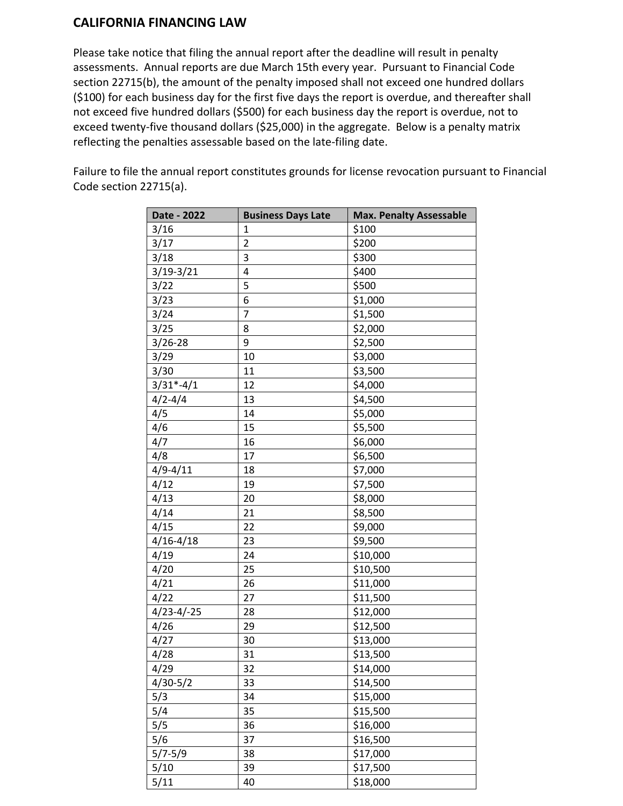## **CALIFORNIA FINANCING LAW**

Please take notice that filing the annual report after the deadline will result in penalty assessments. Annual reports are due March 15th every year. Pursuant to Financial Code section 22715(b), the amount of the penalty imposed shall not exceed one hundred dollars (\$100) for each business day for the first five days the report is overdue, and thereafter shall not exceed five hundred dollars (\$500) for each business day the report is overdue, not to exceed twenty-five thousand dollars (\$25,000) in the aggregate. Below is a penalty matrix reflecting the penalties assessable based on the late-filing date.

Failure to file the annual report constitutes grounds for license revocation pursuant to Financial Code section 22715(a).

| Date - 2022      | <b>Business Days Late</b> | <b>Max. Penalty Assessable</b> |
|------------------|---------------------------|--------------------------------|
| 3/16             | $\mathbf{1}$              | \$100                          |
| 3/17             | $\overline{2}$            | \$200                          |
| 3/18             | 3                         | \$300                          |
| $3/19 - 3/21$    | 4                         | \$400                          |
| 3/22             | 5                         | \$500                          |
| 3/23             | 6                         | \$1,000                        |
| 3/24             | 7                         | \$1,500                        |
| 3/25             | 8                         | \$2,000                        |
| $3/26 - 28$      | 9                         | \$2,500                        |
| 3/29             | 10                        | \$3,000                        |
| 3/30             | 11                        | \$3,500                        |
| $3/31*-4/1$      | 12                        | \$4,000                        |
| $4/2 - 4/4$      | 13                        | \$4,500                        |
| 4/5              | 14                        | \$5,000                        |
| 4/6              | 15                        | \$5,500                        |
| 4/7              | 16                        | \$6,000                        |
| 4/8              | 17                        | \$6,500                        |
| $4/9 - 4/11$     | 18                        | \$7,000                        |
| 4/12             | 19                        | \$7,500                        |
| 4/13             | 20                        | \$8,000                        |
| 4/14             | 21                        | \$8,500                        |
| 4/15             | 22                        | \$9,000                        |
| $4/16 - 4/18$    | 23                        | \$9,500                        |
| 4/19             | 24                        | \$10,000                       |
| 4/20             | 25                        | \$10,500                       |
| 4/21             | 26                        | \$11,000                       |
| 4/22             | 27                        | \$11,500                       |
| $4/23 - 4/ - 25$ | 28                        | \$12,000                       |
| 4/26             | 29                        | \$12,500                       |
| 4/27             | 30                        | \$13,000                       |
| 4/28             | 31                        | \$13,500                       |
| 4/29             | 32                        | \$14,000                       |
| $4/30 - 5/2$     | 33                        | \$14,500                       |
| 5/3              | 34                        | \$15,000                       |
| 5/4              | 35                        | \$15,500                       |
| 5/5              | 36                        | \$16,000                       |
| 5/6              | 37                        | \$16,500                       |
| $5/7 - 5/9$      | 38                        | \$17,000                       |
| 5/10             | 39                        | \$17,500                       |
| 5/11             | 40                        | \$18,000                       |